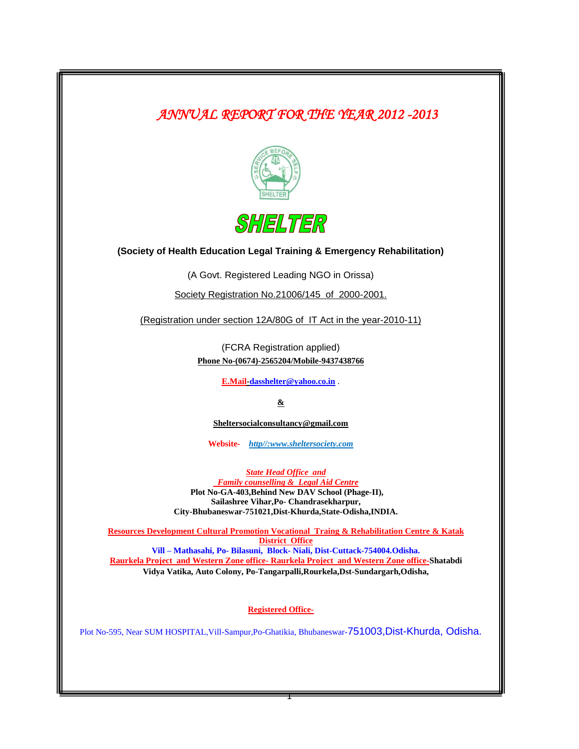*ANNUAL REPORT FOR THE YEAR 2012 -2013* 





**(Society of Health Education Legal Training & Emergency Rehabilitation)**

(A Govt. Registered Leading NGO in Orissa)

Society Registration No.21006/145 of 2000-2001.

(Registration under section 12A/80G of IT Act in the year-2010-11)

(FCRA Registration applied) **Phone No-(0674)-2565204/Mobile-9437438766**

**E.Mail-dasshelter@yahoo.co.in** .

**&**

**Sheltersocialconsultancy@gmail.com**

**Website***- http//[:www.sheltersociety.com](http://www.sheltersociety.com/)*

*State Head Office and Family counselling & Legal Aid Centre* **Plot No-GA-403,Behind New DAV School (Phage-II), Sailashree Vihar,Po- Chandrasekharpur, City-Bhubaneswar-751021,Dist-Khurda,State-Odisha,INDIA.** 

**Resources Development Cultural Promotion Vocational Traing & Rehabilitation Centre & Katak District Office Vill – Mathasahi, Po- Bilasuni, Block- Niali, Dist-Cuttack-754004.Odisha. Raurkela Project and Western Zone office- Raurkela Project and Western Zone office-Shatabdi Vidya Vatika, Auto Colony, Po-Tangarpalli,Rourkela,Dst-Sundargarh,Odisha,**

**Registered Office-**

Plot No-595, Near SUM HOSPITAL,Vill-Sampur,Po-Ghatikia, Bhubaneswar-751003,Dist-Khurda, Odisha.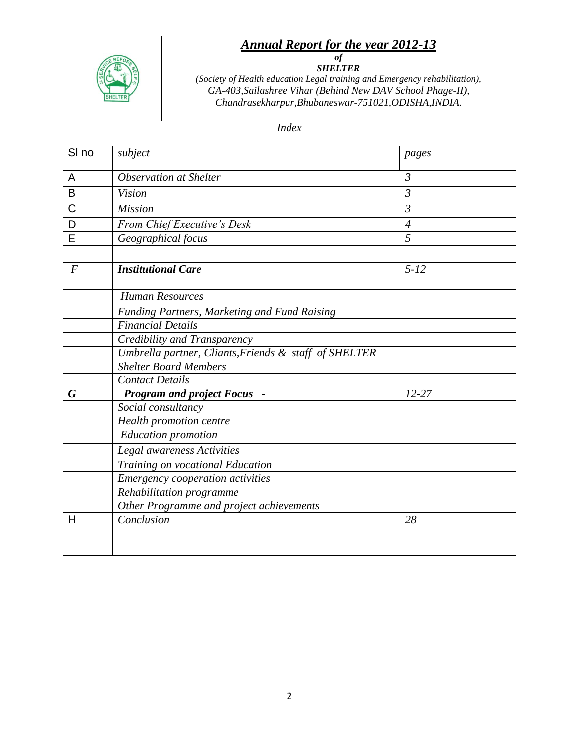## *Annual Report for the year 2012-13*



*of SHELTER*

*(Society of Health education Legal training and Emergency rehabilitation), GA-403,Sailashree Vihar (Behind New DAV School Phage-II), Chandrasekharpur,Bhubaneswar-751021,ODISHA,INDIA.*

| SI <sub>no</sub> | subject                                               | pages                                                        |  |
|------------------|-------------------------------------------------------|--------------------------------------------------------------|--|
| A                | <b>Observation at Shelter</b>                         | $\mathfrak{Z}$                                               |  |
| B                | <b>Vision</b>                                         | $\overline{3}$<br>$\overline{\mathcal{E}}$<br>$\overline{4}$ |  |
| $\mathsf C$      | <b>Mission</b>                                        |                                                              |  |
| D                | From Chief Executive's Desk                           |                                                              |  |
| E                | Geographical focus                                    | 5                                                            |  |
| $\boldsymbol{F}$ | <b>Institutional Care</b>                             | $5 - 12$                                                     |  |
|                  | <b>Human Resources</b>                                |                                                              |  |
|                  | Funding Partners, Marketing and Fund Raising          |                                                              |  |
|                  | <b>Financial Details</b>                              |                                                              |  |
|                  | Credibility and Transparency                          |                                                              |  |
|                  | Umbrella partner, Cliants, Friends & staff of SHELTER |                                                              |  |
|                  | <b>Shelter Board Members</b>                          |                                                              |  |
|                  | <b>Contact Details</b>                                |                                                              |  |
| G                | <b>Program and project Focus -</b>                    | $12 - 27$                                                    |  |
|                  | Social consultancy                                    |                                                              |  |
|                  | Health promotion centre                               |                                                              |  |
|                  | <b>Education</b> promotion                            |                                                              |  |
|                  | Legal awareness Activities                            |                                                              |  |
|                  | Training on vocational Education                      |                                                              |  |
|                  | Emergency cooperation activities                      |                                                              |  |
|                  | Rehabilitation programme                              |                                                              |  |
|                  | Other Programme and project achievements              |                                                              |  |
| н                | Conclusion                                            | 28                                                           |  |
|                  |                                                       |                                                              |  |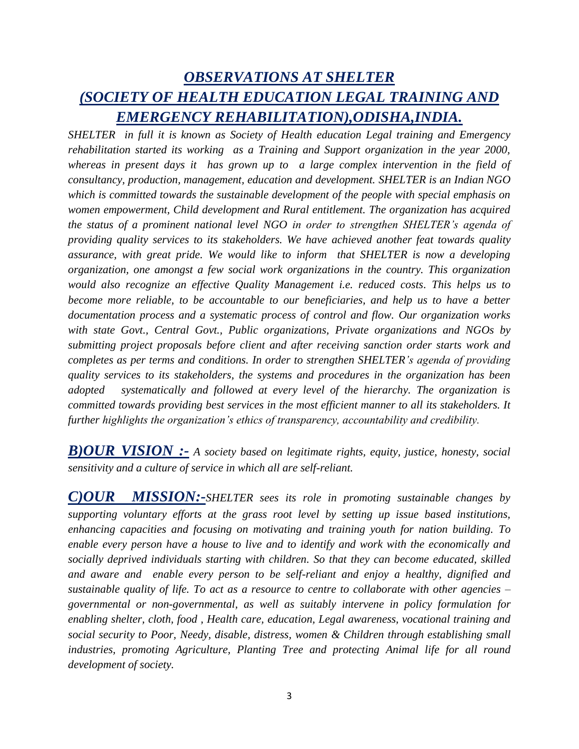# *OBSERVATIONS AT SHELTER (SOCIETY OF HEALTH EDUCATION LEGAL TRAINING AND EMERGENCY REHABILITATION),ODISHA,INDIA.*

*SHELTER in full it is known as Society of Health education Legal training and Emergency rehabilitation started its working as a Training and Support organization in the year 2000, whereas in present days it has grown up to a large complex intervention in the field of consultancy, production, management, education and development. SHELTER is an Indian NGO which is committed towards the sustainable development of the people with special emphasis on women empowerment, Child development and Rural entitlement. The organization has acquired the status of a prominent national level NGO in order to strengthen SHELTER's agenda of providing quality services to its stakeholders. We have achieved another feat towards quality assurance, with great pride. We would like to inform that SHELTER is now a developing organization, one amongst a few social work organizations in the country. This organization would also recognize an effective Quality Management i.e. reduced costs. This helps us to become more reliable, to be accountable to our beneficiaries, and help us to have a better documentation process and a systematic process of control and flow. Our organization works with state Govt., Central Govt., Public organizations, Private organizations and NGOs by submitting project proposals before client and after receiving sanction order starts work and completes as per terms and conditions. In order to strengthen SHELTER's agenda of providing quality services to its stakeholders, the systems and procedures in the organization has been adopted systematically and followed at every level of the hierarchy. The organization is committed towards providing best services in the most efficient manner to all its stakeholders. It further highlights the organization's ethics of transparency, accountability and credibility.*

*B)OUR VISION :- A society based on legitimate rights, equity, justice, honesty, social sensitivity and a culture of service in which all are self-reliant.*

*C)OUR MISSION:-SHELTER sees its role in promoting sustainable changes by supporting voluntary efforts at the grass root level by setting up issue based institutions, enhancing capacities and focusing on motivating and training youth for nation building. To enable every person have a house to live and to identify and work with the economically and socially deprived individuals starting with children. So that they can become educated, skilled and aware and enable every person to be self-reliant and enjoy a healthy, dignified and sustainable quality of life. To act as a resource to centre to collaborate with other agencies – governmental or non-governmental, as well as suitably intervene in policy formulation for enabling shelter, cloth, food , Health care, education, Legal awareness, vocational training and social security to Poor, Needy, disable, distress, women & Children through establishing small industries, promoting Agriculture, Planting Tree and protecting Animal life for all round development of society.*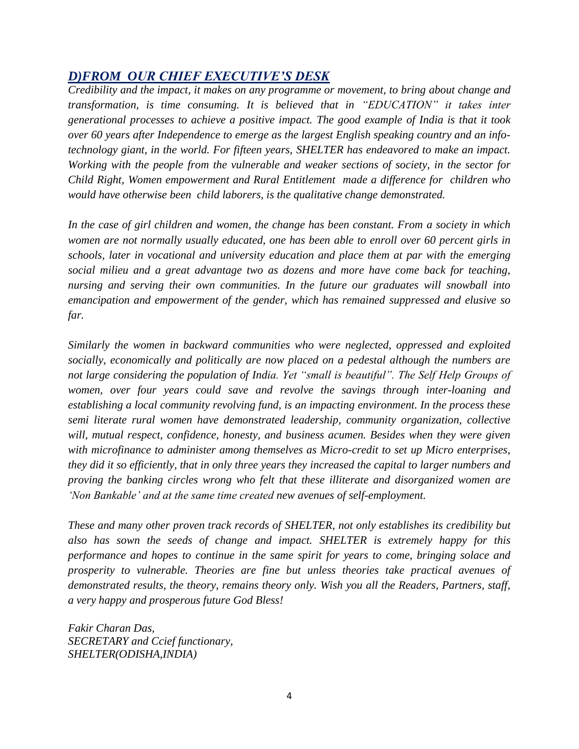## *D)FROM OUR CHIEF EXECUTIVE'S DESK*

*Credibility and the impact, it makes on any programme or movement, to bring about change and transformation, is time consuming. It is believed that in "EDUCATION" it takes inter generational processes to achieve a positive impact. The good example of India is that it took over 60 years after Independence to emerge as the largest English speaking country and an infotechnology giant, in the world. For fifteen years, SHELTER has endeavored to make an impact. Working with the people from the vulnerable and weaker sections of society, in the sector for Child Right, Women empowerment and Rural Entitlement made a difference for children who would have otherwise been child laborers, is the qualitative change demonstrated.*

*In the case of girl children and women, the change has been constant. From a society in which women are not normally usually educated, one has been able to enroll over 60 percent girls in schools, later in vocational and university education and place them at par with the emerging social milieu and a great advantage two as dozens and more have come back for teaching, nursing and serving their own communities. In the future our graduates will snowball into emancipation and empowerment of the gender, which has remained suppressed and elusive so far.*

*Similarly the women in backward communities who were neglected, oppressed and exploited socially, economically and politically are now placed on a pedestal although the numbers are not large considering the population of India. Yet "small is beautiful". The Self Help Groups of women, over four years could save and revolve the savings through inter-loaning and establishing a local community revolving fund, is an impacting environment. In the process these semi literate rural women have demonstrated leadership, community organization, collective will, mutual respect, confidence, honesty, and business acumen. Besides when they were given with microfinance to administer among themselves as Micro-credit to set up Micro enterprises, they did it so efficiently, that in only three years they increased the capital to larger numbers and proving the banking circles wrong who felt that these illiterate and disorganized women are 'Non Bankable' and at the same time created new avenues of self-employment.*

*These and many other proven track records of SHELTER, not only establishes its credibility but also has sown the seeds of change and impact. SHELTER is extremely happy for this performance and hopes to continue in the same spirit for years to come, bringing solace and prosperity to vulnerable. Theories are fine but unless theories take practical avenues of demonstrated results, the theory, remains theory only. Wish you all the Readers, Partners, staff, a very happy and prosperous future God Bless!*

*Fakir Charan Das, SECRETARY and Ccief functionary, SHELTER(ODISHA,INDIA)*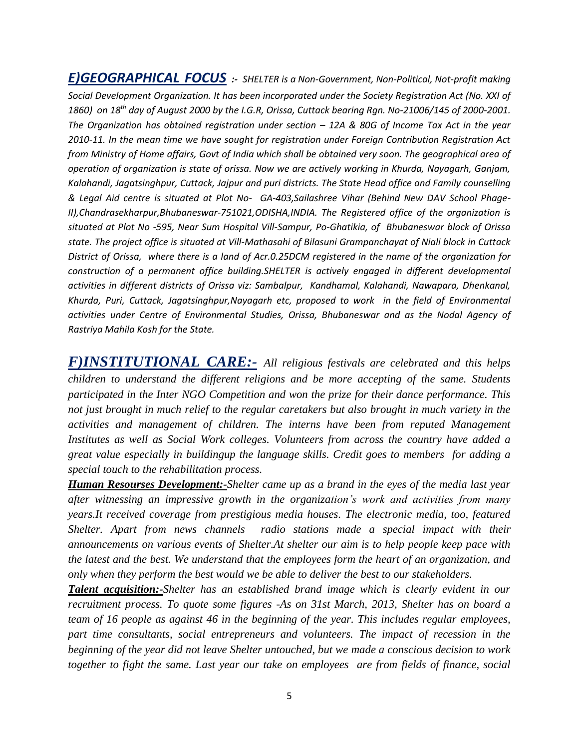*E)GEOGRAPHICAL FOCUS :- SHELTER is a Non-Government, Non-Political, Not-profit making Social Development Organization. It has been incorporated under the Society Registration Act (No. XXI of 1860) on 18th day of August 2000 by the I.G.R, Orissa, Cuttack bearing Rgn. No-21006/145 of 2000-2001. The Organization has obtained registration under section – 12A & 80G of Income Tax Act in the year 2010-11. In the mean time we have sought for registration under Foreign Contribution Registration Act from Ministry of Home affairs, Govt of India which shall be obtained very soon. The geographical area of operation of organization is state of orissa. Now we are actively working in Khurda, Nayagarh, Ganjam, Kalahandi, Jagatsinghpur, Cuttack, Jajpur and puri districts. The State Head office and Family counselling & Legal Aid centre is situated at Plot No- GA-403,Sailashree Vihar (Behind New DAV School Phage-II),Chandrasekharpur,Bhubaneswar-751021,ODISHA,INDIA. The Registered office of the organization is situated at Plot No -595, Near Sum Hospital Vill-Sampur, Po-Ghatikia, of Bhubaneswar block of Orissa state. The project office is situated at Vill-Mathasahi of Bilasuni Grampanchayat of Niali block in Cuttack District of Orissa, where there is a land of Acr.0.25DCM registered in the name of the organization for construction of a permanent office building.SHELTER is actively engaged in different developmental activities in different districts of Orissa viz: Sambalpur, Kandhamal, Kalahandi, Nawapara, Dhenkanal, Khurda, Puri, Cuttack, Jagatsinghpur,Nayagarh etc, proposed to work in the field of Environmental activities under Centre of Environmental Studies, Orissa, Bhubaneswar and as the Nodal Agency of Rastriya Mahila Kosh for the State.*

*F)INSTITUTIONAL CARE:- All religious festivals are celebrated and this helps children to understand the different religions and be more accepting of the same. Students participated in the Inter NGO Competition and won the prize for their dance performance. This not just brought in much relief to the regular caretakers but also brought in much variety in the activities and management of children. The interns have been from reputed Management Institutes as well as Social Work colleges. Volunteers from across the country have added a great value especially in buildingup the language skills. Credit goes to members for adding a special touch to the rehabilitation process.*

*Human Resourses Development:-Shelter came up as a brand in the eyes of the media last year after witnessing an impressive growth in the organization's work and activities from many years.It received coverage from prestigious media houses. The electronic media, too, featured Shelter. Apart from news channels radio stations made a special impact with their announcements on various events of Shelter.At shelter our aim is to help people keep pace with the latest and the best. We understand that the employees form the heart of an organization, and only when they perform the best would we be able to deliver the best to our stakeholders.*

*Talent acquisition:-Shelter has an established brand image which is clearly evident in our recruitment process. To quote some figures -As on 31st March, 2013, Shelter has on board a team of 16 people as against 46 in the beginning of the year. This includes regular employees, part time consultants, social entrepreneurs and volunteers. The impact of recession in the beginning of the year did not leave Shelter untouched, but we made a conscious decision to work together to fight the same. Last year our take on employees are from fields of finance, social*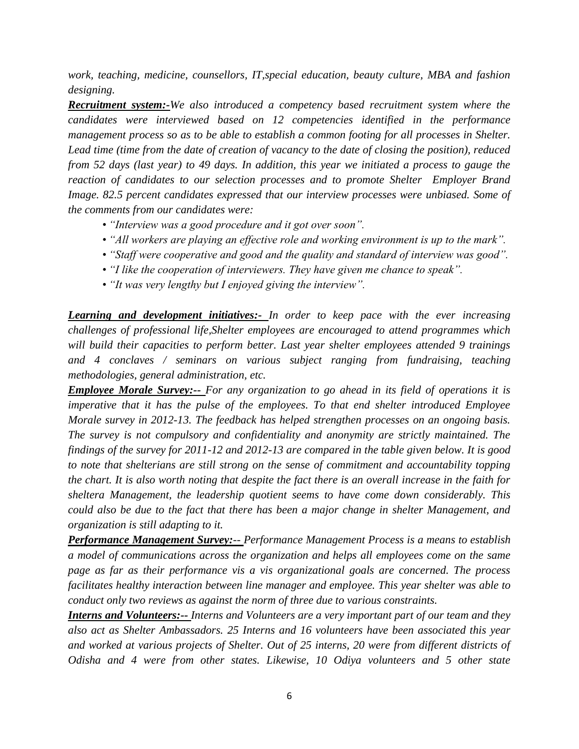*work, teaching, medicine, counsellors, IT,special education, beauty culture, MBA and fashion designing.*

*Recruitment system:-We also introduced a competency based recruitment system where the candidates were interviewed based on 12 competencies identified in the performance management process so as to be able to establish a common footing for all processes in Shelter. Lead time (time from the date of creation of vacancy to the date of closing the position), reduced from 52 days (last year) to 49 days. In addition, this year we initiated a process to gauge the reaction of candidates to our selection processes and to promote Shelter Employer Brand Image. 82.5 percent candidates expressed that our interview processes were unbiased. Some of the comments from our candidates were:*

- *"Interview was a good procedure and it got over soon".*
- *"All workers are playing an effective role and working environment is up to the mark".*
- *"Staff were cooperative and good and the quality and standard of interview was good".*
- *"I like the cooperation of interviewers. They have given me chance to speak".*
- *"It was very lengthy but I enjoyed giving the interview".*

*Learning and development initiatives:- In order to keep pace with the ever increasing challenges of professional life,Shelter employees are encouraged to attend programmes which will build their capacities to perform better. Last year shelter employees attended 9 trainings and 4 conclaves / seminars on various subject ranging from fundraising, teaching methodologies, general administration, etc.*

*Employee Morale Survey:-- For any organization to go ahead in its field of operations it is imperative that it has the pulse of the employees. To that end shelter introduced Employee Morale survey in 2012-13. The feedback has helped strengthen processes on an ongoing basis. The survey is not compulsory and confidentiality and anonymity are strictly maintained. The findings of the survey for 2011-12 and 2012-13 are compared in the table given below. It is good to note that shelterians are still strong on the sense of commitment and accountability topping the chart. It is also worth noting that despite the fact there is an overall increase in the faith for sheltera Management, the leadership quotient seems to have come down considerably. This could also be due to the fact that there has been a major change in shelter Management, and organization is still adapting to it.*

*Performance Management Survey:-- Performance Management Process is a means to establish a model of communications across the organization and helps all employees come on the same page as far as their performance vis a vis organizational goals are concerned. The process facilitates healthy interaction between line manager and employee. This year shelter was able to conduct only two reviews as against the norm of three due to various constraints.*

*Interns and Volunteers:-- Interns and Volunteers are a very important part of our team and they also act as Shelter Ambassadors. 25 Interns and 16 volunteers have been associated this year and worked at various projects of Shelter. Out of 25 interns, 20 were from different districts of Odisha and 4 were from other states. Likewise, 10 Odiya volunteers and 5 other state*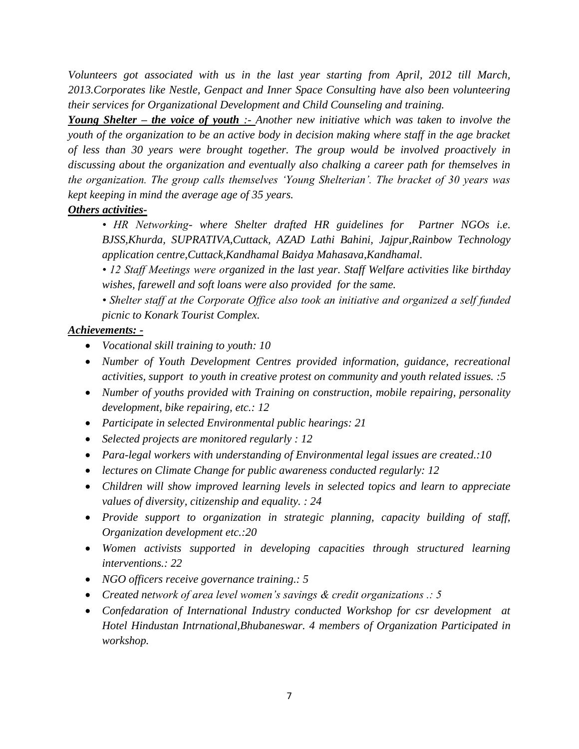*Volunteers got associated with us in the last year starting from April, 2012 till March, 2013.Corporates like Nestle, Genpact and Inner Space Consulting have also been volunteering their services for Organizational Development and Child Counseling and training.*

*Young Shelter – the voice of youth :- Another new initiative which was taken to involve the youth of the organization to be an active body in decision making where staff in the age bracket of less than 30 years were brought together. The group would be involved proactively in discussing about the organization and eventually also chalking a career path for themselves in the organization. The group calls themselves 'Young Shelterian'. The bracket of 30 years was kept keeping in mind the average age of 35 years.*

### *Others activities-*

*• HR Networking- where Shelter drafted HR guidelines for Partner NGOs i.e. BJSS,Khurda, SUPRATIVA,Cuttack, AZAD Lathi Bahini, Jajpur,Rainbow Technology application centre,Cuttack,Kandhamal Baidya Mahasava,Kandhamal.*

*• 12 Staff Meetings were organized in the last year. Staff Welfare activities like birthday wishes, farewell and soft loans were also provided for the same.*

*• Shelter staff at the Corporate Office also took an initiative and organized a self funded picnic to Konark Tourist Complex.*

### *Achievements: -*

- *Vocational skill training to youth: 10*
- *Number of Youth Development Centres provided information, guidance, recreational activities, support to youth in creative protest on community and youth related issues. :5*
- *Number of youths provided with Training on construction, mobile repairing, personality development, bike repairing, etc.: 12*
- *Participate in selected Environmental public hearings: 21*
- *Selected projects are monitored regularly : 12*
- *Para-legal workers with understanding of Environmental legal issues are created.:10*
- *lectures on Climate Change for public awareness conducted regularly: 12*
- *Children will show improved learning levels in selected topics and learn to appreciate values of diversity, citizenship and equality. : 24*
- *Provide support to organization in strategic planning, capacity building of staff, Organization development etc.:20*
- *Women activists supported in developing capacities through structured learning interventions.: 22*
- *NGO officers receive governance training.: 5*
- *Created network of area level women's savings & credit organizations .: 5*
- *Confedaration of International Industry conducted Workshop for csr development at Hotel Hindustan Intrnational,Bhubaneswar. 4 members of Organization Participated in workshop.*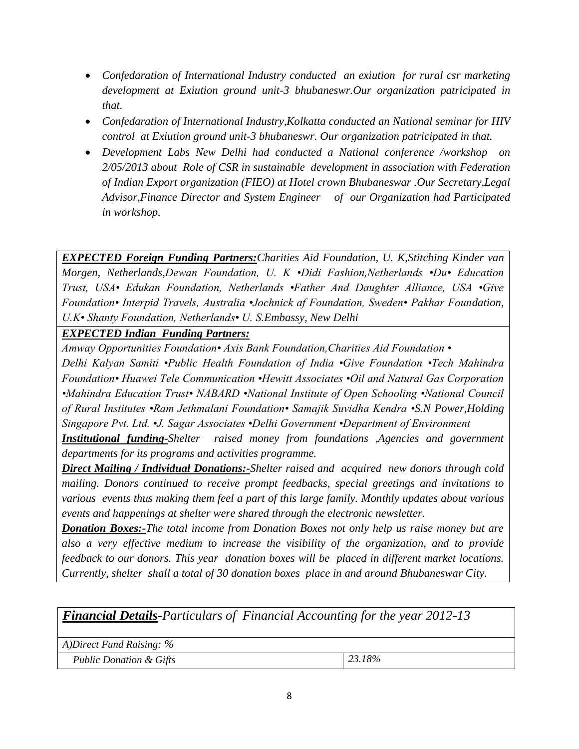- *Confedaration of International Industry conducted an exiution for rural csr marketing development at Exiution ground unit-3 bhubaneswr.Our organization patricipated in that.*
- *Confedaration of International Industry,Kolkatta conducted an National seminar for HIV control at Exiution ground unit-3 bhubaneswr. Our organization patricipated in that.*
- *Development Labs New Delhi had conducted a National conference /workshop on 2/05/2013 about Role of CSR in sustainable development in association with Federation of Indian Export organization (FIEO) at Hotel crown Bhubaneswar .Our Secretary,Legal Advisor,Finance Director and System Engineer of our Organization had Participated in workshop.*

*EXPECTED Foreign Funding Partners:Charities Aid Foundation, U. K,Stitching Kinder van Morgen, Netherlands,Dewan Foundation, U. K •Didi Fashion,Netherlands •Du• Education Trust, USA• Edukan Foundation, Netherlands •Father And Daughter Alliance, USA •Give Foundation• Interpid Travels, Australia •Jochnick af Foundation, Sweden• Pakhar Foundation, U.K• Shanty Foundation, Netherlands• U. S.Embassy, New Delhi*

*EXPECTED Indian Funding Partners:*

*Amway Opportunities Foundation• Axis Bank Foundation,Charities Aid Foundation • Delhi Kalyan Samiti •Public Health Foundation of India •Give Foundation •Tech Mahindra Foundation• Huawei Tele Communication •Hewitt Associates •Oil and Natural Gas Corporation •Mahindra Education Trust• NABARD •National Institute of Open Schooling •National Council of Rural Institutes •Ram Jethmalani Foundation• Samajik Suvidha Kendra •S.N Power,Holding Singapore Pvt. Ltd. •J. Sagar Associates •Delhi Government •Department of Environment*

*Institutional funding-Shelter raised money from foundations ,Agencies and government departments for its programs and activities programme.*

*Direct Mailing / Individual Donations:-Shelter raised and acquired new donors through cold mailing. Donors continued to receive prompt feedbacks, special greetings and invitations to various events thus making them feel a part of this large family. Monthly updates about various events and happenings at shelter were shared through the electronic newsletter.*

*Donation Boxes:-The total income from Donation Boxes not only help us raise money but are also a very effective medium to increase the visibility of the organization, and to provide feedback to our donors. This year donation boxes will be placed in different market locations. Currently, shelter shall a total of 30 donation boxes place in and around Bhubaneswar City.*

*Financial Details-Particulars of Financial Accounting for the year 2012-13*

*A)Direct Fund Raising: %*

*Public Donation & Gifts 23.18%*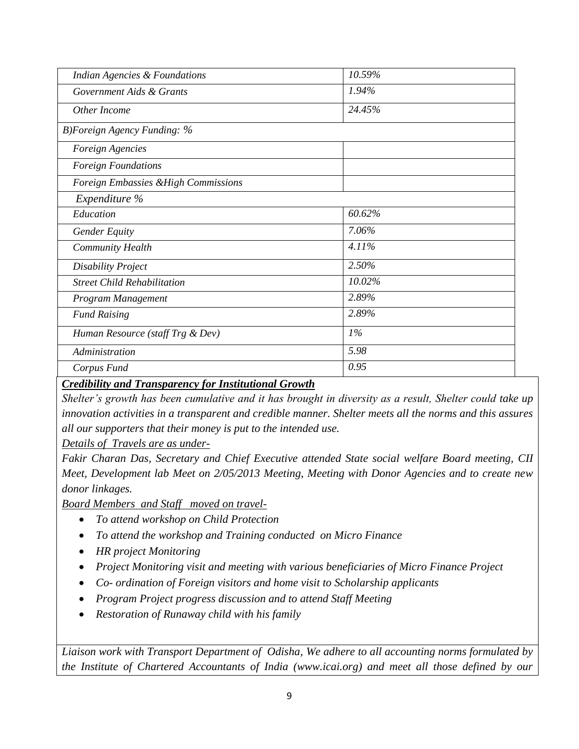| <b>Indian Agencies &amp; Foundations</b> | 10.59% |
|------------------------------------------|--------|
| Government Aids & Grants                 | 1.94%  |
| Other Income                             | 24.45% |
| B)Foreign Agency Funding: $\%$           |        |
| Foreign Agencies                         |        |
| <b>Foreign Foundations</b>               |        |
| Foreign Embassies & High Commissions     |        |
| Expenditure %                            |        |
| Education                                | 60.62% |
| <b>Gender Equity</b>                     | 7.06%  |
| <b>Community Health</b>                  | 4.11%  |
| <b>Disability Project</b>                | 2.50%  |
| <b>Street Child Rehabilitation</b>       | 10.02% |
| Program Management                       | 2.89%  |
| <b>Fund Raising</b>                      | 2.89%  |
| Human Resource (staff Trg & Dev)         | 1%     |
| Administration                           | 5.98   |
| Corpus Fund                              | 0.95   |

#### *Credibility and Transparency for Institutional Growth*

*Shelter's growth has been cumulative and it has brought in diversity as a result, Shelter could take up innovation activities in a transparent and credible manner. Shelter meets all the norms and this assures all our supporters that their money is put to the intended use.*

*Details of Travels are as under-*

*Fakir Charan Das, Secretary and Chief Executive attended State social welfare Board meeting, CII Meet, Development lab Meet on 2/05/2013 Meeting, Meeting with Donor Agencies and to create new donor linkages.*

*Board Members and Staff moved on travel-*

- *To attend workshop on Child Protection*
- *To attend the workshop and Training conducted on Micro Finance*
- *HR project Monitoring*
- *Project Monitoring visit and meeting with various beneficiaries of Micro Finance Project*
- *Co- ordination of Foreign visitors and home visit to Scholarship applicants*
- *Program Project progress discussion and to attend Staff Meeting*
- *Restoration of Runaway child with his family*

*Liaison work with Transport Department of Odisha, We adhere to all accounting norms formulated by the Institute of Chartered Accountants of India (www.icai.org) and meet all those defined by our*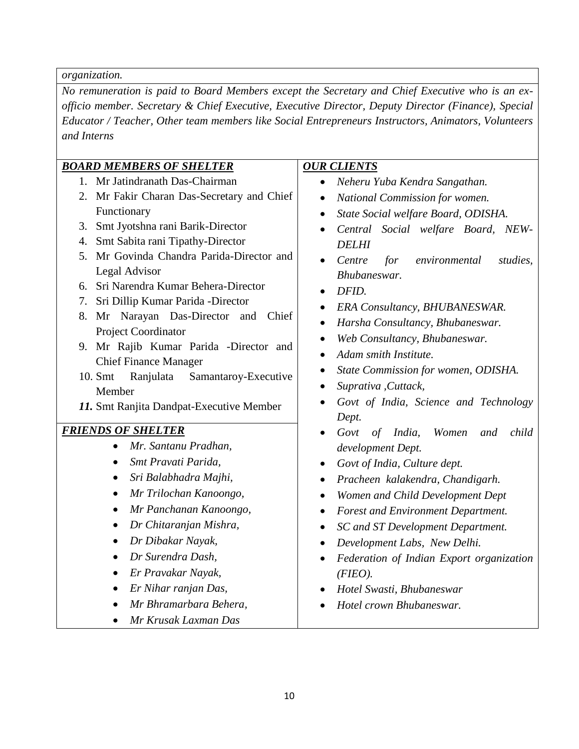*organization.*

*No remuneration is paid to Board Members except the Secretary and Chief Executive who is an exofficio member. Secretary & Chief Executive, Executive Director, Deputy Director (Finance), Special Educator / Teacher, Other team members like Social Entrepreneurs Instructors, Animators, Volunteers and Interns*

#### *BOARD MEMBERS OF SHELTER*

- 1. Mr Jatindranath Das-Chairman
- 2. Mr Fakir Charan Das-Secretary and Chief Functionary
- 3. Smt Jyotshna rani Barik-Director
- 4. Smt Sabita rani Tipathy-Director
- 5. Mr Govinda Chandra Parida-Director and Legal Advisor
- 6. Sri Narendra Kumar Behera-Director
- 7. Sri Dillip Kumar Parida -Director
- 8. Mr Narayan Das-Director and Chief Project Coordinator
- 9. Mr Rajib Kumar Parida -Director and Chief Finance Manager
- 10. Smt Ranjulata Samantaroy-Executive Member
- *11.* Smt Ranjita Dandpat-Executive Member

#### *FRIENDS OF SHELTER*

- *Mr. Santanu Pradhan,*
- *Smt Pravati Parida,*
- *Sri Balabhadra Majhi,*
- *Mr Trilochan Kanoongo,*
- *Mr Panchanan Kanoongo,*
- *Dr Chitaranjan Mishra,*
- *Dr Dibakar Nayak,*
- *Dr Surendra Dash,*
- *Er Pravakar Nayak,*
- *Er Nihar ranjan Das,*
- *Mr Bhramarbara Behera,*
- *Mr Krusak Laxman Das*

### *OUR CLIENTS*

- *Neheru Yuba Kendra Sangathan.*
- *National Commission for women.*
- *State Social welfare Board, ODISHA.*
- *Central Social welfare Board, NEW-DELHI*
- *Centre for environmental studies, Bhubaneswar.*
- *DFID.*
- *ERA Consultancy, BHUBANESWAR.*
- *Harsha Consultancy, Bhubaneswar.*
- *Web Consultancy, Bhubaneswar.*
- *Adam smith Institute.*
- *State Commission for women, ODISHA.*
- *Suprativa ,Cuttack,*
- *Govt of India, Science and Technology Dept.*
- *Govt of India, Women and child development Dept.*
- *Govt of India, Culture dept.*
- *Pracheen kalakendra, Chandigarh.*
- *Women and Child Development Dept*
- *Forest and Environment Department.*
- *SC and ST Development Department.*
- *Development Labs, New Delhi.*
- *Federation of Indian Export organization (FIEO).*
- *Hotel Swasti, Bhubaneswar*
- *Hotel crown Bhubaneswar.*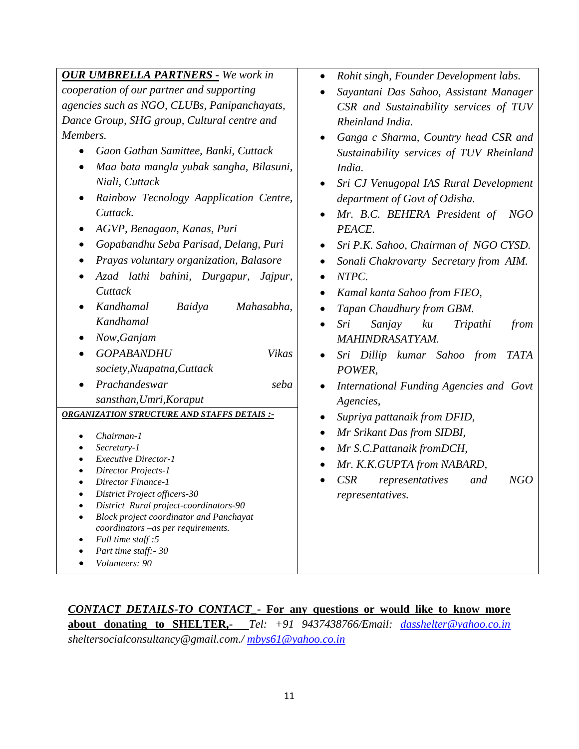| <b>OUR UMBRELLA PARTNERS - We work in</b>          | Rohit singh, Founder Development labs.<br>$\bullet$ |
|----------------------------------------------------|-----------------------------------------------------|
| cooperation of our partner and supporting          | Sayantani Das Sahoo, Assistant Manager              |
| agencies such as NGO, CLUBs, Panipanchayats,       | CSR and Sustainability services of TUV              |
| Dance Group, SHG group, Cultural centre and        | Rheinland India.                                    |
| Members.                                           | Ganga c Sharma, Country head CSR and                |
| Gaon Gathan Samittee, Banki, Cuttack               | Sustainability services of TUV Rheinland            |
| Maa bata mangla yubak sangha, Bilasuni,            | India.                                              |
| Niali, Cuttack                                     | Sri CJ Venugopal IAS Rural Development              |
| Rainbow Tecnology Aapplication Centre,             | department of Govt of Odisha.                       |
| Cuttack.                                           | Mr. B.C. BEHERA President of<br>NGO                 |
| AGVP, Benagaon, Kanas, Puri<br>$\bullet$           | PEACE.                                              |
| Gopabandhu Seba Parisad, Delang, Puri              | Sri P.K. Sahoo, Chairman of NGO CYSD.               |
| Prayas voluntary organization, Balasore            | Sonali Chakrovarty Secretary from AIM.              |
| Azad lathi bahini, Durgapur,<br>Jajpur,            | NTPC.                                               |
| Cuttack                                            | Kamal kanta Sahoo from FIEO,                        |
| Kandhamal<br>Baidya<br>Mahasabha,                  | Tapan Chaudhury from GBM.                           |
| Kandhamal                                          | Sanjay<br>Sri<br>ku<br>Tripathi<br>from             |
| Now, Ganjam                                        | MAHINDRASATYAM.                                     |
| <b>GOPABANDHU</b><br>Vikas                         | Sri Dillip kumar Sahoo from<br>TATA                 |
| society, Nuapatna, Cuttack                         | POWER,                                              |
| Prachandeswar<br>seba                              | International Funding Agencies and Govt             |
| sansthan, Umri, Koraput                            | Agencies,                                           |
| <b>ORGANIZATION STRUCTURE AND STAFFS DETAIS :-</b> | Supriya pattanaik from DFID,                        |
| Chairman-1                                         | Mr Srikant Das from SIDBI,                          |
| Secretary-1                                        | Mr S.C.Pattanaik fromDCH,                           |
| <b>Executive Director-1</b>                        |                                                     |
| Director Projects-1                                | Mr. K.K.GUPTA from NABARD,                          |
| Director Finance-1                                 | CSR<br>representatives<br>NGO<br>and                |
| District Project officers-30                       | <i>representatives.</i>                             |
| District Rural project-coordinators-90             |                                                     |
| <b>Block project coordinator and Panchayat</b>     |                                                     |
| $coordinates$ –as per requirements.                |                                                     |
| Full time staff: 5<br>Part time staff: - 30        |                                                     |
| Volunteers: 90                                     |                                                     |
|                                                    |                                                     |

*CONTACT DETAILS-TO CONTACT\_-* **For any questions or would like to know more about donating to SHELTER,-** *Tel: +91 9437438766/Email: [dasshelter@yahoo.co.in](mailto:dasshelter@yahoo.co.in) sheltersocialconsultancy@gmail.com./ [mbys61@yahoo.co.in](mailto:mbys61@yahoo.co.in)*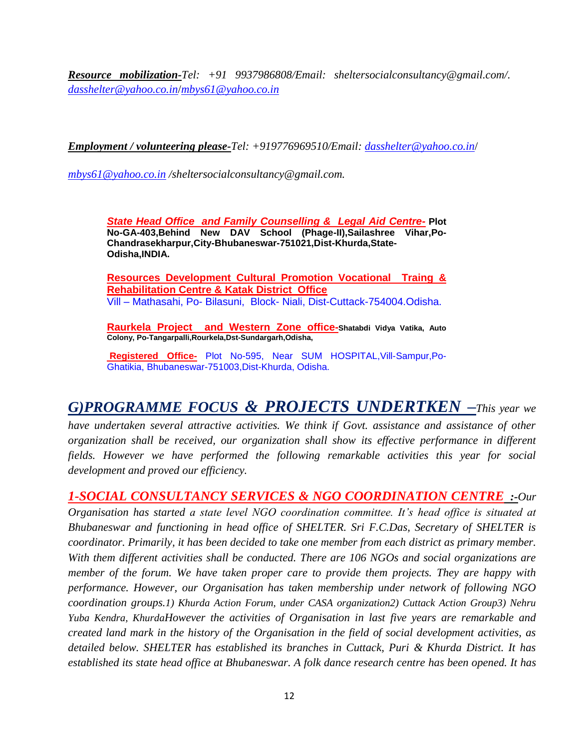*Resource mobilization-Tel: +91 9937986808/Email: sheltersocialconsultancy@gmail.com/. [dasshelter@yahoo.co.in](mailto:dasshelter@yahoo.co.in)*/*[mbys61@yahoo.co.in](mailto:mbys61@yahoo.co.in)*

*Employment / volunteering please-Tel: +919776969510/Email: [dasshelter@yahoo.co.in](mailto:dasshelter@yahoo.co.in)*/

*[mbys61@yahoo.co.in](mailto:mbys61@yahoo.co.in) /sheltersocialconsultancy@gmail.com.*

*State Head Office and Family Counselling & Legal Aid Centre-* **Plot No-GA-403,Behind New DAV School (Phage-II),Sailashree Vihar,Po-Chandrasekharpur,City-Bhubaneswar-751021,Dist-Khurda,State-Odisha,INDIA.**

**Resources Development Cultural Promotion Vocational Traing & Rehabilitation Centre & Katak District Office** Vill – Mathasahi, Po- Bilasuni, Block- Niali, Dist-Cuttack-754004.Odisha.

**Raurkela Project and Western Zone office-Shatabdi Vidya Vatika, Auto Colony, Po-Tangarpalli,Rourkela,Dst-Sundargarh,Odisha,**

**Registered Office-** Plot No-595, Near SUM HOSPITAL,Vill-Sampur,Po-Ghatikia, Bhubaneswar-751003,Dist-Khurda, Odisha.

# *G)PROGRAMME FOCUS & PROJECTS UNDERTKEN –This year we*

*have undertaken several attractive activities. We think if Govt. assistance and assistance of other organization shall be received, our organization shall show its effective performance in different fields. However we have performed the following remarkable activities this year for social development and proved our efficiency.*

*1-SOCIAL CONSULTANCY SERVICES & NGO COORDINATION CENTRE :-Our Organisation has started a state level NGO coordination committee. It's head office is situated at Bhubaneswar and functioning in head office of SHELTER. Sri F.C.Das, Secretary of SHELTER is coordinator. Primarily, it has been decided to take one member from each district as primary member. With them different activities shall be conducted. There are 106 NGOs and social organizations are member of the forum. We have taken proper care to provide them projects. They are happy with performance. However, our Organisation has taken membership under network of following NGO coordination groups.1) Khurda Action Forum, under CASA organization2) Cuttack Action Group3) Nehru Yuba Kendra, KhurdaHowever the activities of Organisation in last five years are remarkable and created land mark in the history of the Organisation in the field of social development activities, as detailed below. SHELTER has established its branches in Cuttack, Puri & Khurda District. It has established its state head office at Bhubaneswar. A folk dance research centre has been opened. It has*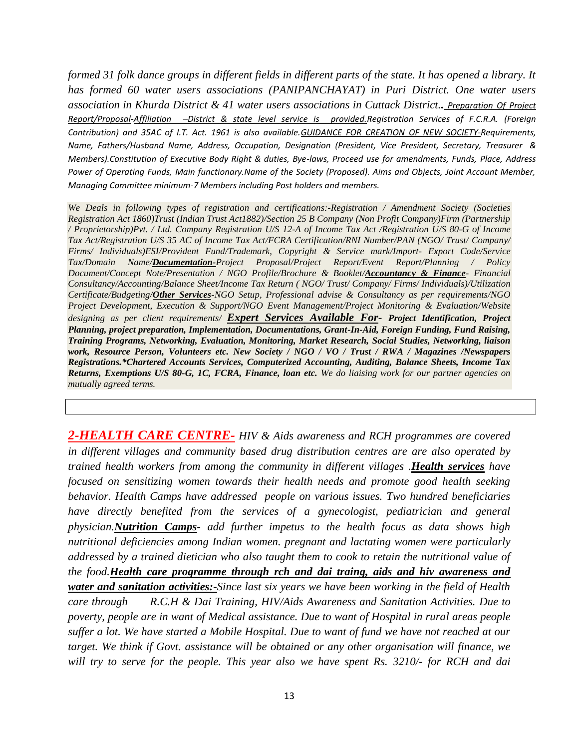*formed 31 folk dance groups in different fields in different parts of the state. It has opened a library. It has formed 60 water users associations (PANIPANCHAYAT) in Puri District. One water users association in Khurda District & 41 water users associations in Cuttack District.. Preparation Of Project Report/Proposal-Affiliation –District & state level service is provided.Registration Services of F.C.R.A. (Foreign Contribution) and 35AC of I.T. Act. 1961 is also available.GUIDANCE FOR CREATION OF NEW SOCIETY-Requirements, Name, Fathers/Husband Name, Address, Occupation, Designation (President, Vice President, Secretary, Treasurer & Members).Constitution of Executive Body Right & duties, Bye-laws, Proceed use for amendments, Funds, Place, Address Power of Operating Funds, Main functionary.Name of the Society (Proposed). Aims and Objects, Joint Account Member, Managing Committee minimum-7 Members including Post holders and members.*

*We Deals in following types of registration and certifications:-Registration / Amendment Society (Societies Registration Act 1860)Trust (Indian Trust Act1882)/Section 25 B Company (Non Profit Company)Firm (Partnership / Proprietorship)Pvt. / Ltd. Company Registration U/S 12-A of Income Tax Act /Registration U/S 80-G of Income Tax Act/Registration U/S 35 AC of Income Tax Act/FCRA Certification/RNI Number/PAN (NGO/ Trust/ Company/ Firms/ Individuals)ESI/Provident Fund/Trademark, Copyright & Service mark/Import- Export Code/Service Tax/Domain Name/Documentation-Project Proposal/Project Report/Event Report/Planning / Policy Document/Concept Note/Presentation / NGO Profile/Brochure & Booklet/Accountancy & Finance- Financial Consultancy/Accounting/Balance Sheet/Income Tax Return ( NGO/ Trust/ Company/ Firms/ Individuals)/Utilization Certificate/Budgeting/Other Services-NGO Setup, Professional advise & Consultancy as per requirements/NGO Project Development, Execution & Support/NGO Event Management/Project Monitoring & Evaluation/Website designing as per client requirements/ Expert Services Available For- Project Identification, Project Planning, project preparation, Implementation, Documentations, Grant-In-Aid, Foreign Funding, Fund Raising, Training Programs, Networking, Evaluation, Monitoring, Market Research, Social Studies, Networking, liaison work, Resource Person, Volunteers etc. New Society / NGO / VO / Trust / RWA / Magazines /Newspapers Registrations.\*Chartered Accounts Services, Computerized Accounting, Auditing, Balance Sheets, Income Tax Returns, Exemptions U/S 80-G, 1C, FCRA, Finance, loan etc. We do liaising work for our partner agencies on mutually agreed terms.*

*2-HEALTH CARE CENTRE- HIV & Aids awareness and RCH programmes are covered in different villages and community based drug distribution centres are are also operated by trained health workers from among the community in different villages .Health services have focused on sensitizing women towards their health needs and promote good health seeking behavior. Health Camps have addressed people on various issues. Two hundred beneficiaries have directly benefited from the services of a gynecologist, pediatrician and general physician.Nutrition Camps- add further impetus to the health focus as data shows high nutritional deficiencies among Indian women. pregnant and lactating women were particularly addressed by a trained dietician who also taught them to cook to retain the nutritional value of the food.Health care programme through rch and dai traing, aids and hiv awareness and water and sanitation activities:-Since last six years we have been working in the field of Health care through R.C.H & Dai Training, HIV/Aids Awareness and Sanitation Activities. Due to poverty, people are in want of Medical assistance. Due to want of Hospital in rural areas people suffer a lot. We have started a Mobile Hospital. Due to want of fund we have not reached at our target. We think if Govt. assistance will be obtained or any other organisation will finance, we will try to serve for the people. This year also we have spent Rs. 3210/- for RCH and dai*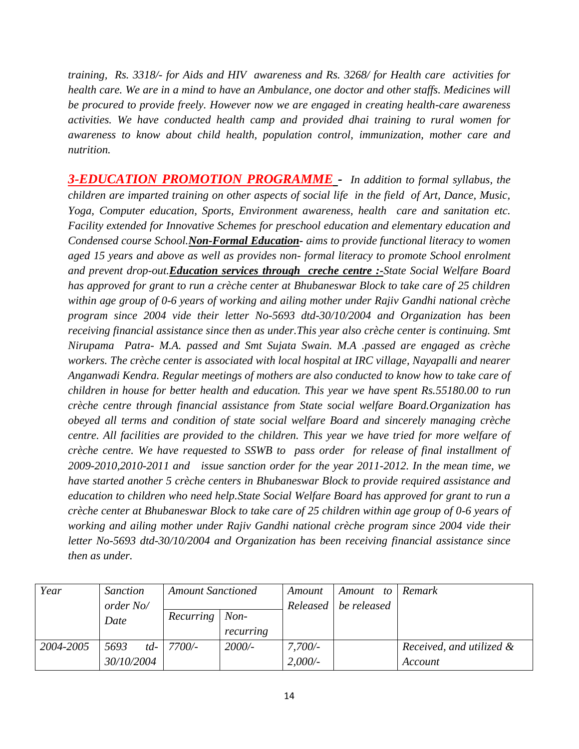*training, Rs. 3318/- for Aids and HIV awareness and Rs. 3268/ for Health care activities for health care. We are in a mind to have an Ambulance, one doctor and other staffs. Medicines will be procured to provide freely. However now we are engaged in creating health-care awareness activities. We have conducted health camp and provided dhai training to rural women for awareness to know about child health, population control, immunization, mother care and nutrition.*

*3-EDUCATION PROMOTION PROGRAMME - In addition to formal syllabus, the children are imparted training on other aspects of social life in the field of Art, Dance, Music, Yoga, Computer education, Sports, Environment awareness, health care and sanitation etc. Facility extended for Innovative Schemes for preschool education and elementary education and Condensed course School.Non-Formal Education- aims to provide functional literacy to women aged 15 years and above as well as provides non- formal literacy to promote School enrolment and prevent drop-out.Education services through creche centre :-State Social Welfare Board has approved for grant to run a crèche center at Bhubaneswar Block to take care of 25 children within age group of 0-6 years of working and ailing mother under Rajiv Gandhi national crèche program since 2004 vide their letter No-5693 dtd-30/10/2004 and Organization has been receiving financial assistance since then as under.This year also crèche center is continuing. Smt Nirupama Patra- M.A. passed and Smt Sujata Swain. M.A .passed are engaged as crèche workers. The crèche center is associated with local hospital at IRC village, Nayapalli and nearer Anganwadi Kendra. Regular meetings of mothers are also conducted to know how to take care of children in house for better health and education. This year we have spent Rs.55180.00 to run crèche centre through financial assistance from State social welfare Board.Organization has obeyed all terms and condition of state social welfare Board and sincerely managing crèche centre. All facilities are provided to the children. This year we have tried for more welfare of crèche centre. We have requested to SSWB to pass order for release of final installment of 2009-2010,2010-2011 and issue sanction order for the year 2011-2012. In the mean time, we have started another 5 crèche centers in Bhubaneswar Block to provide required assistance and education to children who need help.State Social Welfare Board has approved for grant to run a crèche center at Bhubaneswar Block to take care of 25 children within age group of 0-6 years of working and ailing mother under Rajiv Gandhi national crèche program since 2004 vide their letter No-5693 dtd-30/10/2004 and Organization has been receiving financial assistance since then as under.*

| Year      | <b>Sanction</b> | <b>Amount Sanctioned</b> |           | Amount | Amount to              | Remark                   |
|-----------|-----------------|--------------------------|-----------|--------|------------------------|--------------------------|
|           | order No/       |                          |           |        | Released   be released |                          |
|           | Date            | Recurring                | $Non-$    |        |                        |                          |
|           |                 |                          | recurring |        |                        |                          |
| 2004-2005 | 5693<br>$td-$   | 7700/-                   | $2000/-$  | 7,700/ |                        | Received, and utilized & |
|           | 30/10/2004      |                          |           | 2,000/ |                        | Account                  |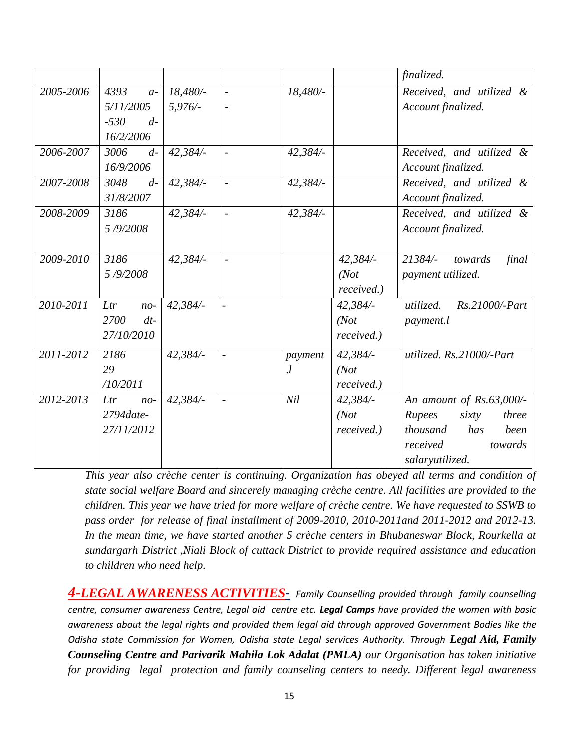|           |                |          |                          |          |            | finalized.                  |
|-----------|----------------|----------|--------------------------|----------|------------|-----------------------------|
| 2005-2006 | 4393<br>$a-$   | 18,480/- | $\overline{\phantom{a}}$ | 18,480/- |            | Received, and utilized &    |
|           | 5/11/2005      | 5,976/   |                          |          |            | Account finalized.          |
|           | $-530$<br>$d-$ |          |                          |          |            |                             |
|           | 16/2/2006      |          |                          |          |            |                             |
| 2006-2007 | 3006<br>$d-$   | 42,384/- | $\overline{\phantom{a}}$ | 42,384/- |            | Received, and utilized &    |
|           | 16/9/2006      |          |                          |          |            | Account finalized.          |
| 2007-2008 | 3048<br>$d-$   | 42,384/  | $\overline{\phantom{a}}$ | 42,384/- |            | Received, and utilized &    |
|           | 31/8/2007      |          |                          |          |            | Account finalized.          |
| 2008-2009 | 3186           | 42,384/  | $\sim$                   | 42,384/- |            | Received, and utilized &    |
|           | 5/9/2008       |          |                          |          |            | Account finalized.          |
|           |                |          |                          |          |            |                             |
| 2009-2010 | 3186           | 42,384/- | $\overline{\phantom{a}}$ |          | 42,384/-   | 21384/-<br>final<br>towards |
|           | 5/9/2008       |          |                          |          | (Not       | payment utilized.           |
|           |                |          |                          |          | received.) |                             |
| 2010-2011 | Ltr<br>$no-$   | 42,384/- | $\overline{a}$           |          | 42,384/-   | Rs.21000/-Part<br>utilized. |
|           | 2700<br>$dt$ - |          |                          |          | (Not       | <i>payment.l</i>            |
|           | 27/10/2010     |          |                          |          | received.) |                             |
| 2011-2012 | 2186           | 42,384/- | $\overline{\phantom{a}}$ | payment  | 42,384/-   | utilized. Rs.21000/-Part    |
|           | 29             |          |                          | $\cdot$  | (Not       |                             |
|           | /10/2011       |          |                          |          | received.) |                             |
| 2012-2013 | Ltr<br>$no-$   | 42,384/- | $\blacksquare$           | Nil      | 42,384/    | An amount of Rs.63,000/-    |
|           | 2794date-      |          |                          |          | (Not       | Rupees<br>sixty<br>three    |
|           | 27/11/2012     |          |                          |          | received.) | thousand<br>been<br>has     |
|           |                |          |                          |          |            | received<br>towards         |
|           |                |          |                          |          |            | salaryutilized.             |

*This year also crèche center is continuing. Organization has obeyed all terms and condition of state social welfare Board and sincerely managing crèche centre. All facilities are provided to the children. This year we have tried for more welfare of crèche centre. We have requested to SSWB to pass order for release of final installment of 2009-2010, 2010-2011and 2011-2012 and 2012-13. In the mean time, we have started another 5 crèche centers in Bhubaneswar Block, Rourkella at sundargarh District ,Niali Block of cuttack District to provide required assistance and education to children who need help.*

*4-LEGAL AWARENESS ACTIVITIES- Family Counselling provided through family counselling centre, consumer awareness Centre, Legal aid centre etc. Legal Camps have provided the women with basic awareness about the legal rights and provided them legal aid through approved Government Bodies like the Odisha state Commission for Women, Odisha state Legal services Authority. Through Legal Aid, Family Counseling Centre and Parivarik Mahila Lok Adalat (PMLA) our Organisation has taken initiative for providing legal protection and family counseling centers to needy. Different legal awareness*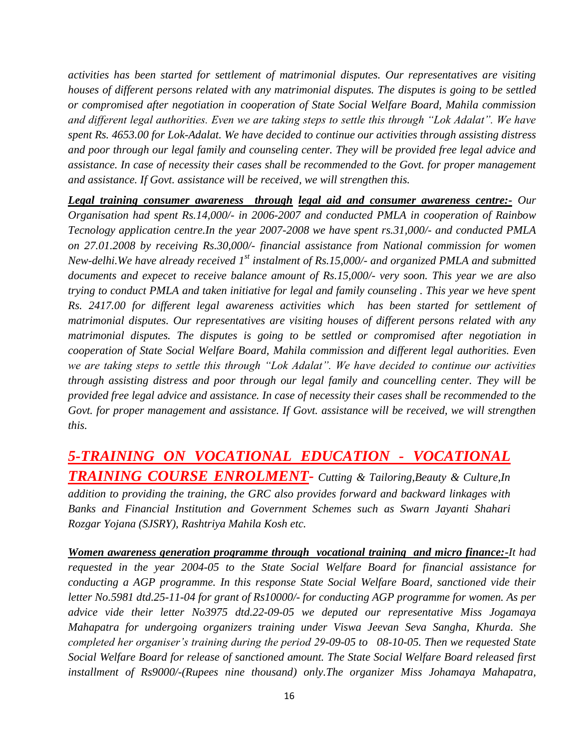*activities has been started for settlement of matrimonial disputes. Our representatives are visiting houses of different persons related with any matrimonial disputes. The disputes is going to be settled or compromised after negotiation in cooperation of State Social Welfare Board, Mahila commission and different legal authorities. Even we are taking steps to settle this through "Lok Adalat". We have spent Rs. 4653.00 for Lok-Adalat. We have decided to continue our activities through assisting distress and poor through our legal family and counseling center. They will be provided free legal advice and assistance. In case of necessity their cases shall be recommended to the Govt. for proper management and assistance. If Govt. assistance will be received, we will strengthen this.*

*Legal training consumer awareness through legal aid and consumer awareness centre:- Our Organisation had spent Rs.14,000/- in 2006-2007 and conducted PMLA in cooperation of Rainbow Tecnology application centre.In the year 2007-2008 we have spent rs.31,000/- and conducted PMLA on 27.01.2008 by receiving Rs.30,000/- financial assistance from National commission for women New-delhi.We have already received 1st instalment of Rs.15,000/- and organized PMLA and submitted documents and expecet to receive balance amount of Rs.15,000/- very soon. This year we are also trying to conduct PMLA and taken initiative for legal and family counseling . This year we heve spent Rs. 2417.00 for different legal awareness activities which has been started for settlement of matrimonial disputes. Our representatives are visiting houses of different persons related with any matrimonial disputes. The disputes is going to be settled or compromised after negotiation in cooperation of State Social Welfare Board, Mahila commission and different legal authorities. Even we are taking steps to settle this through "Lok Adalat". We have decided to continue our activities through assisting distress and poor through our legal family and councelling center. They will be provided free legal advice and assistance. In case of necessity their cases shall be recommended to the*  Govt. for proper management and assistance. If Govt. assistance will be received, we will strengthen *this.*

*5-TRAINING ON VOCATIONAL EDUCATION - VOCATIONAL TRAINING COURSE ENROLMENT- Cutting & Tailoring,Beauty & Culture,In addition to providing the training, the GRC also provides forward and backward linkages with Banks and Financial Institution and Government Schemes such as Swarn Jayanti Shahari Rozgar Yojana (SJSRY), Rashtriya Mahila Kosh etc.*

*Women awareness generation programme through vocational training and micro finance:-It had requested in the year 2004-05 to the State Social Welfare Board for financial assistance for conducting a AGP programme. In this response State Social Welfare Board, sanctioned vide their letter No.5981 dtd.25-11-04 for grant of Rs10000/- for conducting AGP programme for women. As per advice vide their letter No3975 dtd.22-09-05 we deputed our representative Miss Jogamaya Mahapatra for undergoing organizers training under Viswa Jeevan Seva Sangha, Khurda. She completed her organiser's training during the period 29-09-05 to 08-10-05. Then we requested State Social Welfare Board for release of sanctioned amount. The State Social Welfare Board released first installment of Rs9000/-(Rupees nine thousand) only.The organizer Miss Johamaya Mahapatra,*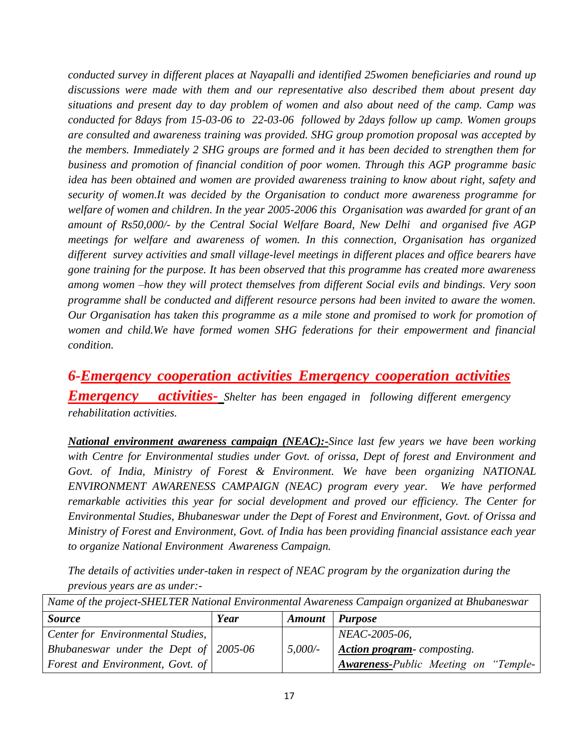*conducted survey in different places at Nayapalli and identified 25women beneficiaries and round up discussions were made with them and our representative also described them about present day situations and present day to day problem of women and also about need of the camp. Camp was conducted for 8days from 15-03-06 to 22-03-06 followed by 2days follow up camp. Women groups are consulted and awareness training was provided. SHG group promotion proposal was accepted by the members. Immediately 2 SHG groups are formed and it has been decided to strengthen them for business and promotion of financial condition of poor women. Through this AGP programme basic idea has been obtained and women are provided awareness training to know about right, safety and security of women.It was decided by the Organisation to conduct more awareness programme for welfare of women and children. In the year 2005-2006 this Organisation was awarded for grant of an amount of Rs50,000/- by the Central Social Welfare Board, New Delhi and organised five AGP meetings for welfare and awareness of women. In this connection, Organisation has organized different survey activities and small village-level meetings in different places and office bearers have gone training for the purpose. It has been observed that this programme has created more awareness among women –how they will protect themselves from different Social evils and bindings. Very soon programme shall be conducted and different resource persons had been invited to aware the women. Our Organisation has taken this programme as a mile stone and promised to work for promotion of women and child.We have formed women SHG federations for their empowerment and financial condition.*

*6-Emergency cooperation activities Emergency cooperation activities Emergency activities- Shelter has been engaged in following different emergency rehabilitation activities.*

*National environment awareness campaign (NEAC):-Since last few years we have been working with Centre for Environmental studies under Govt. of orissa, Dept of forest and Environment and Govt. of India, Ministry of Forest & Environment. We have been organizing NATIONAL ENVIRONMENT AWARENESS CAMPAIGN (NEAC) program every year. We have performed remarkable activities this year for social development and proved our efficiency. The Center for Environmental Studies, Bhubaneswar under the Dept of Forest and Environment, Govt. of Orissa and Ministry of Forest and Environment, Govt. of India has been providing financial assistance each year to organize National Environment Awareness Campaign.*

*The details of activities under-taken in respect of NEAC program by the organization during the previous years are as under:-*

| Name of the project-SHELTER National Environmental Awareness Campaign organized at Bhubaneswar |      |                       |                                      |  |  |
|------------------------------------------------------------------------------------------------|------|-----------------------|--------------------------------------|--|--|
| <b>Source</b>                                                                                  | Year | <b>Amount</b> Purpose |                                      |  |  |
| Center for Environmental Studies,                                                              |      |                       | NEAC-2005-06,                        |  |  |
| Bhubaneswar under the Dept of $\vert$ 2005-06                                                  |      | 5,000/                | <b>Action program-</b> composting.   |  |  |
| <b>Forest and Environment, Govt. of</b>                                                        |      |                       | Awareness-Public Meeting on "Temple- |  |  |

17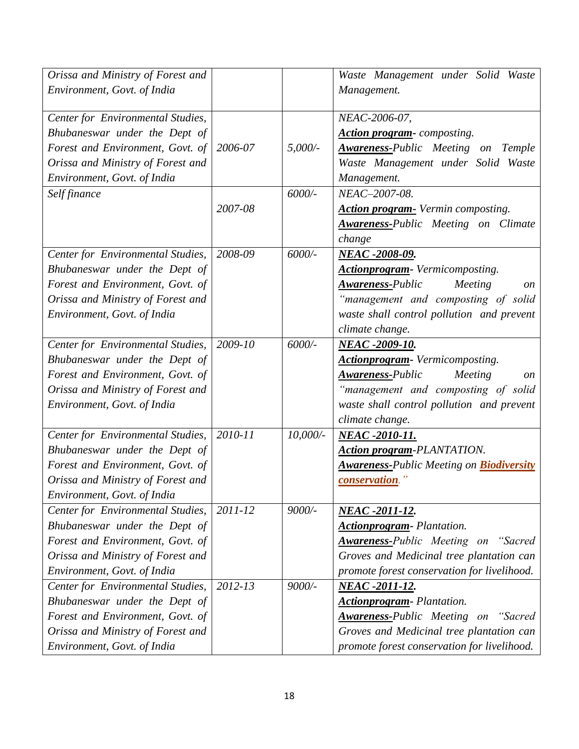| Orissa and Ministry of Forest and |         |             | Waste Management under Solid Waste                   |
|-----------------------------------|---------|-------------|------------------------------------------------------|
| Environment, Govt. of India       |         |             | Management.                                          |
| Center for Environmental Studies, |         |             | NEAC-2006-07,                                        |
| Bhubaneswar under the Dept of     |         |             | <b>Action program-</b> composting.                   |
| Forest and Environment, Govt. of  | 2006-07 | $5,000/$ -  | <b>Awareness-Public Meeting on Temple</b>            |
| Orissa and Ministry of Forest and |         |             | Waste Management under Solid Waste                   |
| Environment, Govt. of India       |         |             | Management.                                          |
| Self finance                      |         | 6000/-      | NEAC-2007-08.                                        |
|                                   | 2007-08 |             | <b>Action program-</b> Vermin composting.            |
|                                   |         |             | <b>Awareness-Public Meeting on Climate</b>           |
|                                   |         |             | change                                               |
| Center for Environmental Studies, | 2008-09 | 6000/-      | NEAC -2008-09.                                       |
| Bhubaneswar under the Dept of     |         |             | Actionprogram- Vermicomposting.                      |
| Forest and Environment, Govt. of  |         |             | <b>Awareness-Public</b><br>Meeting<br>on             |
| Orissa and Ministry of Forest and |         |             | "management and composting of solid                  |
| Environment, Govt. of India       |         |             | waste shall control pollution and prevent            |
|                                   |         |             | climate change.                                      |
| Center for Environmental Studies, | 2009-10 | 6000/-      | NEAC -2009-10.                                       |
| Bhubaneswar under the Dept of     |         |             | <b>Actionprogram-</b> Vermicomposting.               |
| Forest and Environment, Govt. of  |         |             | <b>Awareness-Public</b><br>Meeting<br>on             |
| Orissa and Ministry of Forest and |         |             | "management and composting of solid                  |
| Environment, Govt. of India       |         |             | waste shall control pollution and prevent            |
|                                   |         |             | climate change.                                      |
| Center for Environmental Studies, | 2010-11 | $10,000/$ - | NEAC -2010-11.                                       |
| Bhubaneswar under the Dept of     |         |             | <b>Action program-PLANTATION.</b>                    |
| Forest and Environment, Govt. of  |         |             | <b>Awareness-Public Meeting on Biodiversity</b>      |
| Orissa and Ministry of Forest and |         |             | <i>conservation.</i> "                               |
| Environment, Govt. of India       |         |             |                                                      |
| Center for Environmental Studies, | 2011-12 | 9000/-      | <b>NEAC -2011-12.</b>                                |
| Bhubaneswar under the Dept of     |         |             | <b>Actionprogram-</b> Plantation.                    |
| Forest and Environment, Govt. of  |         |             | <b>Awareness-Public Meeting on "Sacred</b>           |
| Orissa and Ministry of Forest and |         |             | Groves and Medicinal tree plantation can             |
| Environment, Govt. of India       |         |             | promote forest conservation for livelihood.          |
| Center for Environmental Studies, | 2012-13 | 9000/-      | NEAC -2011-12.                                       |
| Bhubaneswar under the Dept of     |         |             | <b>Actionprogram-</b> Plantation.                    |
| Forest and Environment, Govt. of  |         |             | <b>Awareness-Public Meeting on</b><br><i>"Sacred</i> |
| Orissa and Ministry of Forest and |         |             | Groves and Medicinal tree plantation can             |
| Environment, Govt. of India       |         |             | promote forest conservation for livelihood.          |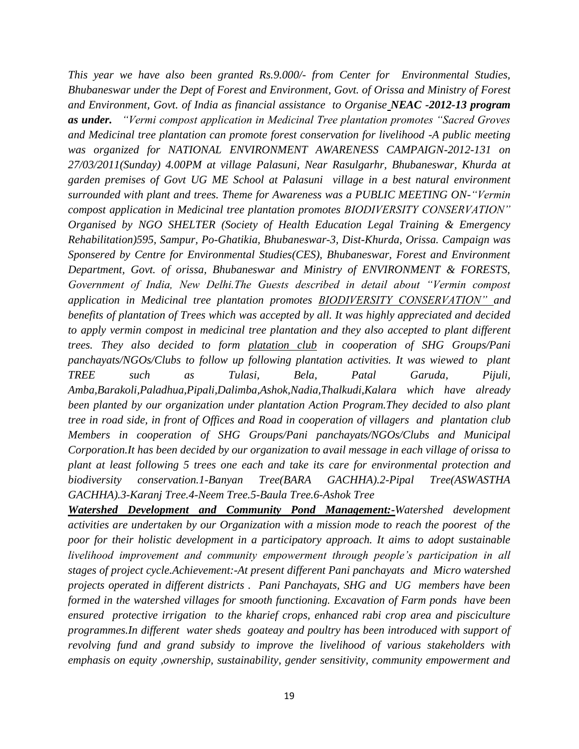*This year we have also been granted Rs.9.000/- from Center for Environmental Studies, Bhubaneswar under the Dept of Forest and Environment, Govt. of Orissa and Ministry of Forest and Environment, Govt. of India as financial assistance to Organise NEAC -2012-13 program as under. "Vermi compost application in Medicinal Tree plantation promotes "Sacred Groves and Medicinal tree plantation can promote forest conservation for livelihood -A public meeting was organized for NATIONAL ENVIRONMENT AWARENESS CAMPAIGN-2012-131 on 27/03/2011(Sunday) 4.00PM at village Palasuni, Near Rasulgarhr, Bhubaneswar, Khurda at garden premises of Govt UG ME School at Palasuni village in a best natural environment surrounded with plant and trees. Theme for Awareness was a PUBLIC MEETING ON-"Vermin compost application in Medicinal tree plantation promotes BIODIVERSITY CONSERVATION" Organised by NGO SHELTER (Society of Health Education Legal Training & Emergency Rehabilitation)595, Sampur, Po-Ghatikia, Bhubaneswar-3, Dist-Khurda, Orissa. Campaign was Sponsered by Centre for Environmental Studies(CES), Bhubaneswar, Forest and Environment Department, Govt. of orissa, Bhubaneswar and Ministry of ENVIRONMENT & FORESTS, Government of India, New Delhi.The Guests described in detail about "Vermin compost application in Medicinal tree plantation promotes BIODIVERSITY CONSERVATION" and benefits of plantation of Trees which was accepted by all. It was highly appreciated and decided to apply vermin compost in medicinal tree plantation and they also accepted to plant different trees. They also decided to form platation club in cooperation of SHG Groups/Pani panchayats/NGOs/Clubs to follow up following plantation activities. It was wiewed to plant TREE such as Tulasi, Bela, Patal Garuda, Pijuli, Amba,Barakoli,Paladhua,Pipali,Dalimba,Ashok,Nadia,Thalkudi,Kalara which have already been planted by our organization under plantation Action Program.They decided to also plant tree in road side, in front of Offices and Road in cooperation of villagers and plantation club Members in cooperation of SHG Groups/Pani panchayats/NGOs/Clubs and Municipal Corporation.It has been decided by our organization to avail message in each village of orissa to plant at least following 5 trees one each and take its care for environmental protection and biodiversity conservation.1-Banyan Tree(BARA GACHHA).2-Pipal Tree(ASWASTHA GACHHA).3-Karanj Tree.4-Neem Tree.5-Baula Tree.6-Ashok Tree*

*Watershed Development and Community Pond Management:-Watershed development activities are undertaken by our Organization with a mission mode to reach the poorest of the poor for their holistic development in a participatory approach. It aims to adopt sustainable livelihood improvement and community empowerment through people's participation in all stages of project cycle.Achievement:-At present different Pani panchayats and Micro watershed projects operated in different districts . Pani Panchayats, SHG and UG members have been formed in the watershed villages for smooth functioning. Excavation of Farm ponds have been ensured protective irrigation to the kharief crops, enhanced rabi crop area and pisciculture programmes.In different water sheds goateay and poultry has been introduced with support of revolving fund and grand subsidy to improve the livelihood of various stakeholders with emphasis on equity ,ownership, sustainability, gender sensitivity, community empowerment and*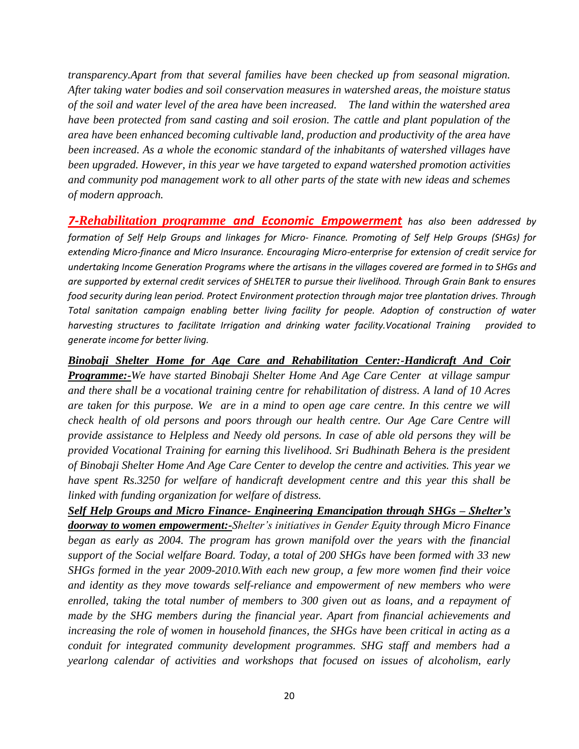*transparency.Apart from that several families have been checked up from seasonal migration. After taking water bodies and soil conservation measures in watershed areas, the moisture status of the soil and water level of the area have been increased. The land within the watershed area have been protected from sand casting and soil erosion. The cattle and plant population of the area have been enhanced becoming cultivable land, production and productivity of the area have been increased. As a whole the economic standard of the inhabitants of watershed villages have been upgraded. However, in this year we have targeted to expand watershed promotion activities and community pod management work to all other parts of the state with new ideas and schemes of modern approach.*

*7-Rehabilitation programme and Economic Empowerment has also been addressed by formation of Self Help Groups and linkages for Micro- Finance. Promoting of Self Help Groups (SHGs) for extending Micro-finance and Micro Insurance. Encouraging Micro-enterprise for extension of credit service for undertaking Income Generation Programs where the artisans in the villages covered are formed in to SHGs and are supported by external credit services of SHELTER to pursue their livelihood. Through Grain Bank to ensures food security during lean period. Protect Environment protection through major tree plantation drives. Through Total sanitation campaign enabling better living facility for people. Adoption of construction of water harvesting structures to facilitate Irrigation and drinking water facility.Vocational Training provided to generate income for better living.*

*Binobaji Shelter Home for Age Care and Rehabilitation Center:-Handicraft And Coir Programme:-We have started Binobaji Shelter Home And Age Care Center at village sampur and there shall be a vocational training centre for rehabilitation of distress. A land of 10 Acres are taken for this purpose. We are in a mind to open age care centre. In this centre we will check health of old persons and poors through our health centre. Our Age Care Centre will provide assistance to Helpless and Needy old persons. In case of able old persons they will be provided Vocational Training for earning this livelihood. Sri Budhinath Behera is the president of Binobaji Shelter Home And Age Care Center to develop the centre and activities. This year we have spent Rs.3250 for welfare of handicraft development centre and this year this shall be linked with funding organization for welfare of distress.*

*Self Help Groups and Micro Finance- Engineering Emancipation through SHGs – Shelter's doorway to women empowerment:-Shelter's initiatives in Gender Equity through Micro Finance began as early as 2004. The program has grown manifold over the years with the financial support of the Social welfare Board. Today, a total of 200 SHGs have been formed with 33 new SHGs formed in the year 2009-2010.With each new group, a few more women find their voice and identity as they move towards self-reliance and empowerment of new members who were enrolled, taking the total number of members to 300 given out as loans, and a repayment of made by the SHG members during the financial year. Apart from financial achievements and increasing the role of women in household finances, the SHGs have been critical in acting as a conduit for integrated community development programmes. SHG staff and members had a yearlong calendar of activities and workshops that focused on issues of alcoholism, early*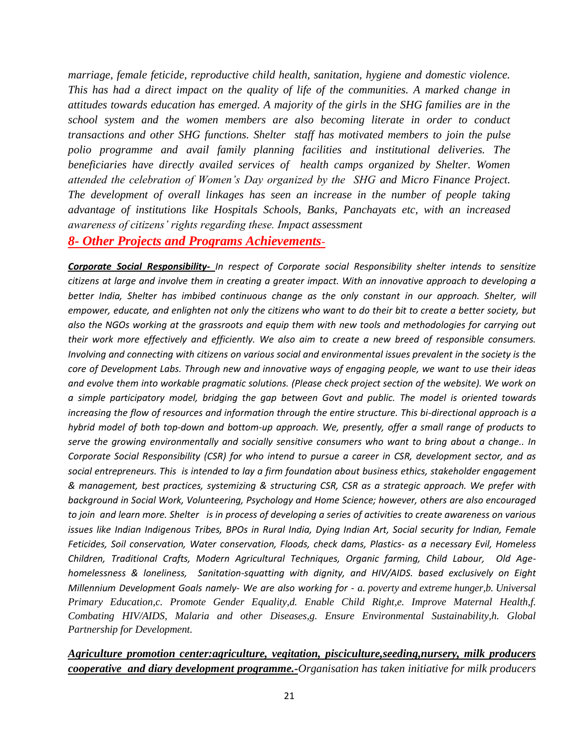*marriage, female feticide, reproductive child health, sanitation, hygiene and domestic violence. This has had a direct impact on the quality of life of the communities. A marked change in attitudes towards education has emerged. A majority of the girls in the SHG families are in the school system and the women members are also becoming literate in order to conduct transactions and other SHG functions. Shelter staff has motivated members to join the pulse polio programme and avail family planning facilities and institutional deliveries. The beneficiaries have directly availed services of health camps organized by Shelter. Women attended the celebration of Women's Day organized by the SHG and Micro Finance Project. The development of overall linkages has seen an increase in the number of people taking advantage of institutions like Hospitals Schools, Banks, Panchayats etc, with an increased awareness of citizens' rights regarding these. Impact assessment*

#### *8- Other Projects and Programs Achievements-*

*Corporate Social Responsibility- In respect of Corporate social Responsibility shelter intends to sensitize citizens at large and involve them in creating a greater impact. With an innovative approach to developing a better India, Shelter has imbibed continuous change as the only constant in our approach. Shelter, will empower, educate, and enlighten not only the citizens who want to do their bit to create a better society, but also the NGOs working at the grassroots and equip them with new tools and methodologies for carrying out their work more effectively and efficiently. We also aim to create a new breed of responsible consumers. Involving and connecting with citizens on various social and environmental issues prevalent in the society is the core of Development Labs. Through new and innovative ways of engaging people, we want to use their ideas and evolve them into workable pragmatic solutions. (Please check project section of the website). We work on a simple participatory model, bridging the gap between Govt and public. The model is oriented towards increasing the flow of resources and information through the entire structure. This bi-directional approach is a hybrid model of both top-down and bottom-up approach. We, presently, offer a small range of products to serve the growing environmentally and socially sensitive consumers who want to bring about a change.. In Corporate Social Responsibility (CSR) for who intend to pursue a career in CSR, development sector, and as social entrepreneurs. This is intended to lay a firm foundation about business ethics, stakeholder engagement & management, best practices, systemizing & structuring CSR, CSR as a strategic approach. We prefer with background in Social Work, Volunteering, Psychology and Home Science; however, others are also encouraged to join and learn more. Shelter is in process of developing a series of activities to create awareness on various issues like Indian Indigenous Tribes, BPOs in Rural India, Dying Indian Art, Social security for Indian, Female Feticides, Soil conservation, Water conservation, Floods, check dams, Plastics- as a necessary Evil, Homeless Children, Traditional Crafts, Modern Agricultural Techniques, Organic farming, Child Labour, Old Agehomelessness & loneliness, Sanitation-squatting with dignity, and HIV/AIDS. based exclusively on Eight Millennium Development Goals namely- We are also working for - a. poverty and extreme hunger,b. Universal Primary Education,c. Promote Gender Equality,d. Enable Child Right,e. Improve Maternal Health,f. Combating HIV/AIDS, Malaria and other Diseases,g. Ensure Environmental Sustainability,h. Global Partnership for Development.*

#### *Agriculture promotion center:agriculture, vegitation, pisciculture,seeding,nursery, milk producers cooperative and diary development programme.-Organisation has taken initiative for milk producers*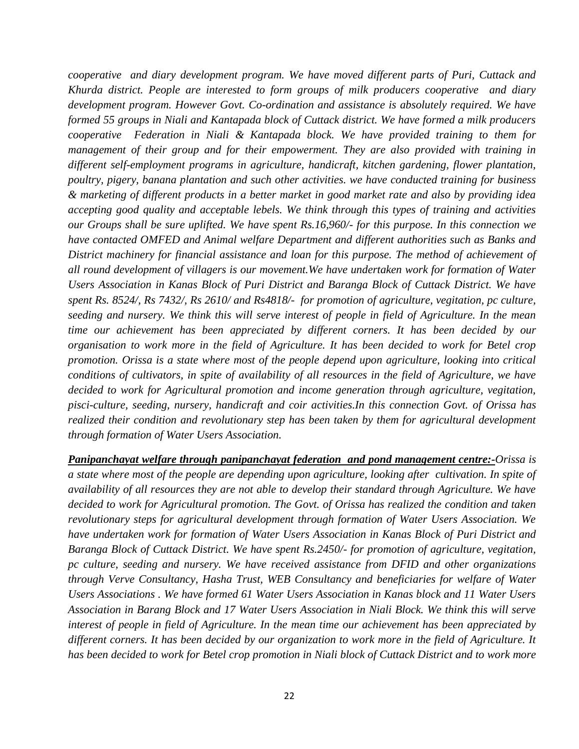*cooperative and diary development program. We have moved different parts of Puri, Cuttack and Khurda district. People are interested to form groups of milk producers cooperative and diary development program. However Govt. Co-ordination and assistance is absolutely required. We have formed 55 groups in Niali and Kantapada block of Cuttack district. We have formed a milk producers cooperative Federation in Niali & Kantapada block. We have provided training to them for management of their group and for their empowerment. They are also provided with training in different self-employment programs in agriculture, handicraft, kitchen gardening, flower plantation, poultry, pigery, banana plantation and such other activities. we have conducted training for business & marketing of different products in a better market in good market rate and also by providing idea accepting good quality and acceptable lebels. We think through this types of training and activities our Groups shall be sure uplifted. We have spent Rs.16,960/- for this purpose. In this connection we have contacted OMFED and Animal welfare Department and different authorities such as Banks and District machinery for financial assistance and loan for this purpose. The method of achievement of all round development of villagers is our movement.We have undertaken work for formation of Water Users Association in Kanas Block of Puri District and Baranga Block of Cuttack District. We have spent Rs. 8524/, Rs 7432/, Rs 2610/ and Rs4818/- for promotion of agriculture, vegitation, pc culture, seeding and nursery. We think this will serve interest of people in field of Agriculture. In the mean time our achievement has been appreciated by different corners. It has been decided by our organisation to work more in the field of Agriculture. It has been decided to work for Betel crop promotion. Orissa is a state where most of the people depend upon agriculture, looking into critical conditions of cultivators, in spite of availability of all resources in the field of Agriculture, we have decided to work for Agricultural promotion and income generation through agriculture, vegitation, pisci-culture, seeding, nursery, handicraft and coir activities.In this connection Govt. of Orissa has realized their condition and revolutionary step has been taken by them for agricultural development through formation of Water Users Association.*

*Panipanchayat welfare through panipanchayat federation and pond management centre:-Orissa is a state where most of the people are depending upon agriculture, looking after cultivation. In spite of availability of all resources they are not able to develop their standard through Agriculture. We have decided to work for Agricultural promotion. The Govt. of Orissa has realized the condition and taken revolutionary steps for agricultural development through formation of Water Users Association. We have undertaken work for formation of Water Users Association in Kanas Block of Puri District and Baranga Block of Cuttack District. We have spent Rs.2450/- for promotion of agriculture, vegitation, pc culture, seeding and nursery. We have received assistance from DFID and other organizations through Verve Consultancy, Hasha Trust, WEB Consultancy and beneficiaries for welfare of Water Users Associations . We have formed 61 Water Users Association in Kanas block and 11 Water Users Association in Barang Block and 17 Water Users Association in Niali Block. We think this will serve interest of people in field of Agriculture. In the mean time our achievement has been appreciated by different corners. It has been decided by our organization to work more in the field of Agriculture. It has been decided to work for Betel crop promotion in Niali block of Cuttack District and to work more*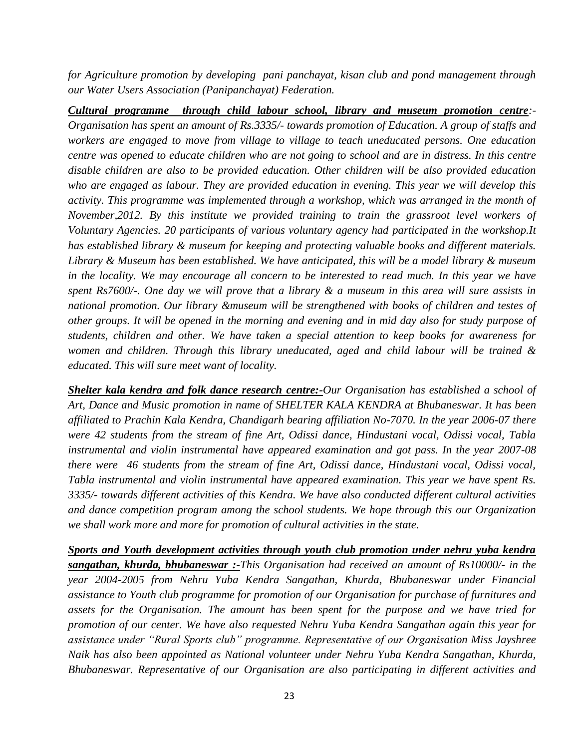*for Agriculture promotion by developing pani panchayat, kisan club and pond management through our Water Users Association (Panipanchayat) Federation.*

*Cultural programme through child labour school, library and museum promotion centre:- Organisation has spent an amount of Rs.3335/- towards promotion of Education. A group of staffs and workers are engaged to move from village to village to teach uneducated persons. One education centre was opened to educate children who are not going to school and are in distress. In this centre disable children are also to be provided education. Other children will be also provided education who are engaged as labour. They are provided education in evening. This year we will develop this activity. This programme was implemented through a workshop, which was arranged in the month of November,2012. By this institute we provided training to train the grassroot level workers of Voluntary Agencies. 20 participants of various voluntary agency had participated in the workshop.It has established library & museum for keeping and protecting valuable books and different materials. Library & Museum has been established. We have anticipated, this will be a model library & museum*  in the locality. We may encourage all concern to be interested to read much. In this year we have *spent Rs7600/-. One day we will prove that a library & a museum in this area will sure assists in national promotion. Our library &museum will be strengthened with books of children and testes of other groups. It will be opened in the morning and evening and in mid day also for study purpose of students, children and other. We have taken a special attention to keep books for awareness for women and children. Through this library uneducated, aged and child labour will be trained & educated. This will sure meet want of locality.*

*Shelter kala kendra and folk dance research centre:-Our Organisation has established a school of Art, Dance and Music promotion in name of SHELTER KALA KENDRA at Bhubaneswar. It has been affiliated to Prachin Kala Kendra, Chandigarh bearing affiliation No-7070. In the year 2006-07 there were 42 students from the stream of fine Art, Odissi dance, Hindustani vocal, Odissi vocal, Tabla instrumental and violin instrumental have appeared examination and got pass. In the year 2007-08 there were 46 students from the stream of fine Art, Odissi dance, Hindustani vocal, Odissi vocal, Tabla instrumental and violin instrumental have appeared examination. This year we have spent Rs. 3335/- towards different activities of this Kendra. We have also conducted different cultural activities and dance competition program among the school students. We hope through this our Organization we shall work more and more for promotion of cultural activities in the state.*

*Sports and Youth development activities through youth club promotion under nehru yuba kendra sangathan, khurda, bhubaneswar :-This Organisation had received an amount of Rs10000/- in the year 2004-2005 from Nehru Yuba Kendra Sangathan, Khurda, Bhubaneswar under Financial assistance to Youth club programme for promotion of our Organisation for purchase of furnitures and assets for the Organisation. The amount has been spent for the purpose and we have tried for promotion of our center. We have also requested Nehru Yuba Kendra Sangathan again this year for assistance under "Rural Sports club" programme. Representative of our Organisation Miss Jayshree Naik has also been appointed as National volunteer under Nehru Yuba Kendra Sangathan, Khurda, Bhubaneswar. Representative of our Organisation are also participating in different activities and*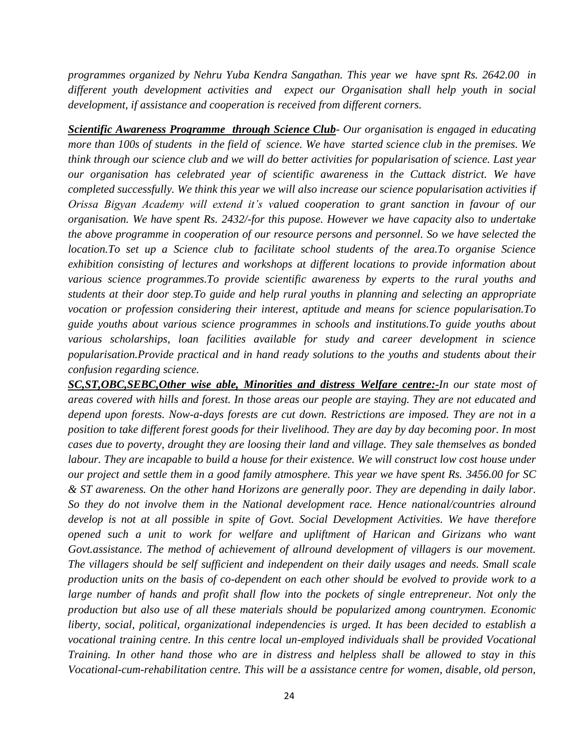*programmes organized by Nehru Yuba Kendra Sangathan. This year we have spnt Rs. 2642.00 in different youth development activities and expect our Organisation shall help youth in social development, if assistance and cooperation is received from different corners.*

*Scientific Awareness Programme through Science Club- Our organisation is engaged in educating more than 100s of students in the field of science. We have started science club in the premises. We think through our science club and we will do better activities for popularisation of science. Last year our organisation has celebrated year of scientific awareness in the Cuttack district. We have completed successfully. We think this year we will also increase our science popularisation activities if Orissa Bigyan Academy will extend it's valued cooperation to grant sanction in favour of our organisation. We have spent Rs. 2432/-for this pupose. However we have capacity also to undertake the above programme in cooperation of our resource persons and personnel. So we have selected the location. To set up a Science club to facilitate school students of the area. To organise Science exhibition consisting of lectures and workshops at different locations to provide information about various science programmes.To provide scientific awareness by experts to the rural youths and students at their door step.To guide and help rural youths in planning and selecting an appropriate vocation or profession considering their interest, aptitude and means for science popularisation.To guide youths about various science programmes in schools and institutions.To guide youths about various scholarships, loan facilities available for study and career development in science popularisation.Provide practical and in hand ready solutions to the youths and students about their confusion regarding science.*

*SC,ST,OBC,SEBC,Other wise able, Minorities and distress Welfare centre:-In our state most of areas covered with hills and forest. In those areas our people are staying. They are not educated and depend upon forests. Now-a-days forests are cut down. Restrictions are imposed. They are not in a position to take different forest goods for their livelihood. They are day by day becoming poor. In most cases due to poverty, drought they are loosing their land and village. They sale themselves as bonded labour. They are incapable to build a house for their existence. We will construct low cost house under our project and settle them in a good family atmosphere. This year we have spent Rs. 3456.00 for SC & ST awareness. On the other hand Horizons are generally poor. They are depending in daily labor. So they do not involve them in the National development race. Hence national/countries alround develop is not at all possible in spite of Govt. Social Development Activities. We have therefore opened such a unit to work for welfare and upliftment of Harican and Girizans who want Govt.assistance. The method of achievement of allround development of villagers is our movement. The villagers should be self sufficient and independent on their daily usages and needs. Small scale production units on the basis of co-dependent on each other should be evolved to provide work to a*  large number of hands and profit shall flow into the pockets of single entrepreneur. Not only the *production but also use of all these materials should be popularized among countrymen. Economic liberty, social, political, organizational independencies is urged. It has been decided to establish a vocational training centre. In this centre local un-employed individuals shall be provided Vocational Training. In other hand those who are in distress and helpless shall be allowed to stay in this Vocational-cum-rehabilitation centre. This will be a assistance centre for women, disable, old person,*